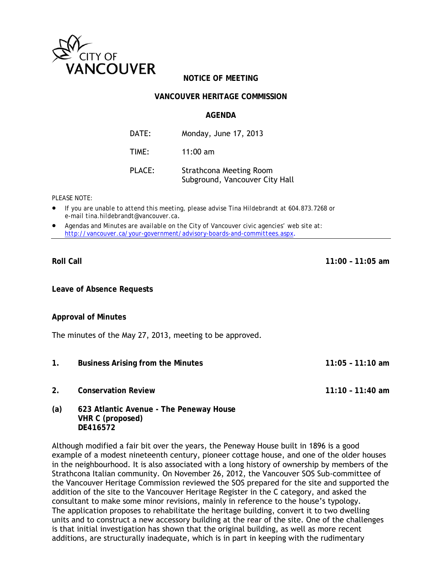

# **NOTICE OF MEETING**

## **VANCOUVER HERITAGE COMMISSION**

## **AGENDA**

| DATE:  | Monday, June 17, 2013                                            |
|--------|------------------------------------------------------------------|
| TIME:  | $11:00$ am                                                       |
| PLACE: | <b>Strathcona Meeting Room</b><br>Subground, Vancouver City Hall |

*PLEASE NOTE:* 

- *If you are unable to attend this meeting, please advise Tina Hildebrandt at 604.873.7268 or e-mail tina.hildebrandt@vancouver.ca*.
- *Agendas and Minutes are available on the City of Vancouver civic agencies' web site at: http://vancouver.ca/your-government/advisory-boards-and-committees.aspx*.

#### **Roll Call 11:00 – 11:05 am**

**Leave of Absence Requests** 

### **Approval of Minutes**

The minutes of the May 27, 2013, meeting to be approved.

- **1. Business Arising from the Minutes 11:05 11:10 am**
- **2. Conservation Review 11:10 11:40 am**
- 

**(a) 623 Atlantic Avenue - The Peneway House VHR C (proposed) DE416572**

Although modified a fair bit over the years, the Peneway House built in 1896 is a good example of a modest nineteenth century, pioneer cottage house, and one of the older houses in the neighbourhood. It is also associated with a long history of ownership by members of the Strathcona Italian community. On November 26, 2012, the Vancouver SOS Sub-committee of the Vancouver Heritage Commission reviewed the SOS prepared for the site and supported the addition of the site to the Vancouver Heritage Register in the C category, and asked the consultant to make some minor revisions, mainly in reference to the house's typology. The application proposes to rehabilitate the heritage building, convert it to two dwelling units and to construct a new accessory building at the rear of the site. One of the challenges is that initial investigation has shown that the original building, as well as more recent additions, are structurally inadequate, which is in part in keeping with the rudimentary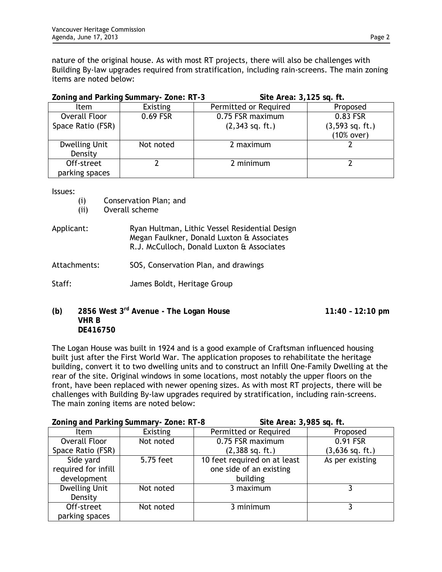nature of the original house. As with most RT projects, there will also be challenges with Building By-law upgrades required from stratification, including rain-screens. The main zoning items are noted below:

| Zoning and Parking Summary-Zone: RT-3 |           | Site Area: 3,125 sq. ft. |                   |
|---------------------------------------|-----------|--------------------------|-------------------|
| <b>Item</b>                           | Existing  | Permitted or Required    | Proposed          |
| Overall Floor                         | 0.69 FSR  | 0.75 FSR maximum         | 0.83 FSR          |
| Space Ratio (FSR)                     |           | $(2,343$ sq. ft.)        | $(3,593$ sq. ft.) |
|                                       |           |                          | (10% over)        |
| <b>Dwelling Unit</b>                  | Not noted | 2 maximum                |                   |
| Density                               |           |                          |                   |
| Off-street                            |           | 2 minimum                |                   |
| parking spaces                        |           |                          |                   |

Issues:

- (i) Conservation Plan; and
- (ii) Overall scheme
- Applicant: Ryan Hultman, Lithic Vessel Residential Design Megan Faulkner, Donald Luxton & Associates R.J. McCulloch, Donald Luxton & Associates
- Attachments: SOS, Conservation Plan, and drawings
- Staff: James Boldt, Heritage Group
- **(b) 2856 West 3rd Avenue The Logan House 11:40 12:10 pm VHR B DE416750**

The Logan House was built in 1924 and is a good example of Craftsman influenced housing built just after the First World War. The application proposes to rehabilitate the heritage building, convert it to two dwelling units and to construct an Infill One-Family Dwelling at the rear of the site. Original windows in some locations, most notably the upper floors on the front, have been replaced with newer opening sizes. As with most RT projects, there will be challenges with Building By-law upgrades required by stratification, including rain-screens. The main zoning items are noted below:

| Zoning and Parking Summary-Zone: RT-8 |                 |                              | Site Area: 3,985 sq. ft. |  |
|---------------------------------------|-----------------|------------------------------|--------------------------|--|
| <b>Item</b>                           | <b>Existing</b> | Permitted or Required        | Proposed                 |  |
| Overall Floor                         | Not noted       | 0.75 FSR maximum             | 0.91 FSR                 |  |
| Space Ratio (FSR)                     |                 | $(2,388$ sq. ft.)            | $(3,636$ sq. ft.)        |  |
| Side yard                             | 5.75 feet       | 10 feet required on at least | As per existing          |  |
| required for infill                   |                 | one side of an existing      |                          |  |
| development                           |                 | building                     |                          |  |
| <b>Dwelling Unit</b>                  | Not noted       | 3 maximum                    |                          |  |
| Density                               |                 |                              |                          |  |
| Off-street                            | Not noted       | 3 minimum                    |                          |  |
| parking spaces                        |                 |                              |                          |  |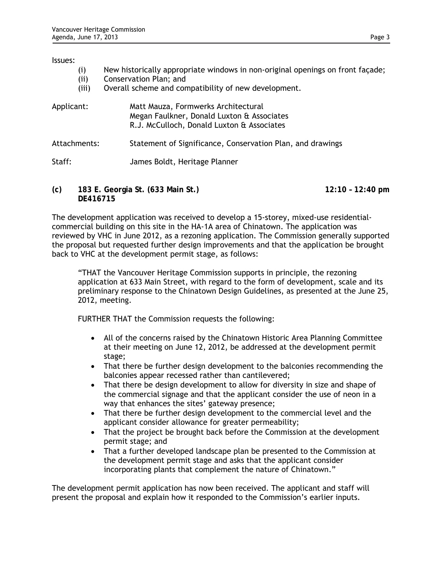#### Issues:

- (i) New historically appropriate windows in non-original openings on front façade;
- (ii) Conservation Plan; and
- (iii) Overall scheme and compatibility of new development.

| Applicant:   | Matt Mauza, Formwerks Architectural<br>Megan Faulkner, Donald Luxton & Associates<br>R.J. McCulloch, Donald Luxton & Associates |
|--------------|---------------------------------------------------------------------------------------------------------------------------------|
| Attachments: | Statement of Significance, Conservation Plan, and drawings                                                                      |
| Staff:       | James Boldt, Heritage Planner                                                                                                   |

**(c) 183 E. Georgia St. (633 Main St.) 12:10 – 12:40 pm DE416715** 

The development application was received to develop a 15-storey, mixed-use residentialcommercial building on this site in the HA-1A area of Chinatown. The application was reviewed by VHC in June 2012, as a rezoning application. The Commission generally supported the proposal but requested further design improvements and that the application be brought back to VHC at the development permit stage, as follows:

"THAT the Vancouver Heritage Commission supports in principle, the rezoning application at 633 Main Street, with regard to the form of development, scale and its preliminary response to the Chinatown Design Guidelines, as presented at the June 25, 2012, meeting.

FURTHER THAT the Commission requests the following:

- All of the concerns raised by the Chinatown Historic Area Planning Committee at their meeting on June 12, 2012, be addressed at the development permit stage;
- That there be further design development to the balconies recommending the balconies appear recessed rather than cantilevered;
- That there be design development to allow for diversity in size and shape of the commercial signage and that the applicant consider the use of neon in a way that enhances the sites' gateway presence;
- That there be further design development to the commercial level and the applicant consider allowance for greater permeability;
- That the project be brought back before the Commission at the development permit stage; and
- That a further developed landscape plan be presented to the Commission at the development permit stage and asks that the applicant consider incorporating plants that complement the nature of Chinatown."

The development permit application has now been received. The applicant and staff will present the proposal and explain how it responded to the Commission's earlier inputs.